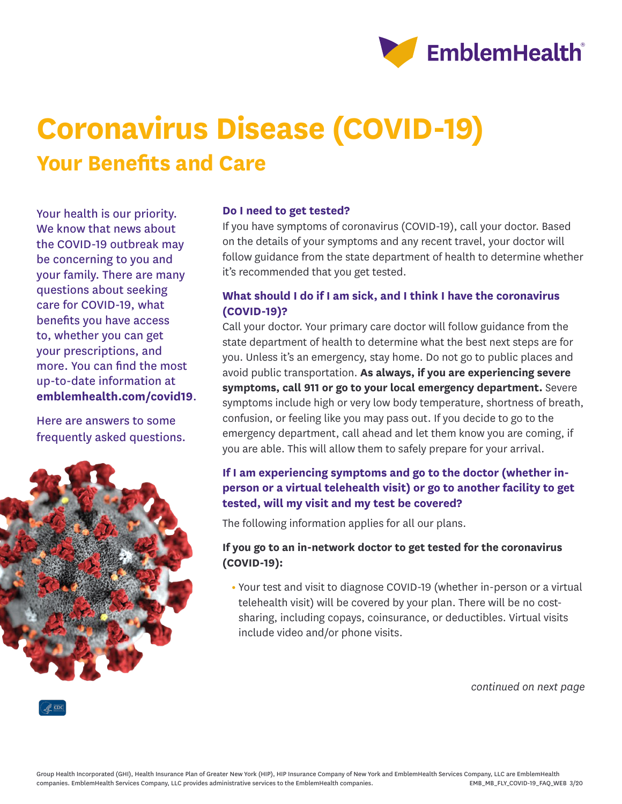

# **Coronavirus Disease (COVID-19) Your Benefits and Care**

Your health is our priority. We know that news about the COVID-19 outbreak may be concerning to you and your family. There are many questions about seeking care for COVID-19, what benefits you have access to, whether you can get your prescriptions, and more. You can find the most up-to-date information at **emblemhealth.com/covid19**.

Here are answers to some frequently asked questions.



#### **Do I need to get tested?**

If you have symptoms of coronavirus (COVID-19), call your doctor. Based on the details of your symptoms and any recent travel, your doctor will follow guidance from the state department of health to determine whether it's recommended that you get tested.

# **What should I do if I am sick, and I think I have the coronavirus (COVID-19)?**

Call your doctor. Your primary care doctor will follow guidance from the state department of health to determine what the best next steps are for you. Unless it's an emergency, stay home. Do not go to public places and avoid public transportation. **As always, if you are experiencing severe symptoms, call 911 or go to your local emergency department.** Severe symptoms include high or very low body temperature, shortness of breath, confusion, or feeling like you may pass out. If you decide to go to the emergency department, call ahead and let them know you are coming, if you are able. This will allow them to safely prepare for your arrival.

# **If I am experiencing symptoms and go to the doctor (whether inperson or a virtual telehealth visit) or go to another facility to get tested, will my visit and my test be covered?**

The following information applies for all our plans.

## **If you go to an in-network doctor to get tested for the coronavirus (COVID-19):**

**•** Your test and visit to diagnose COVID-19 (whether in-person or a virtual telehealth visit) will be covered by your plan. There will be no costsharing, including copays, coinsurance, or deductibles. Virtual visits include video and/or phone visits.

*continued on next page*

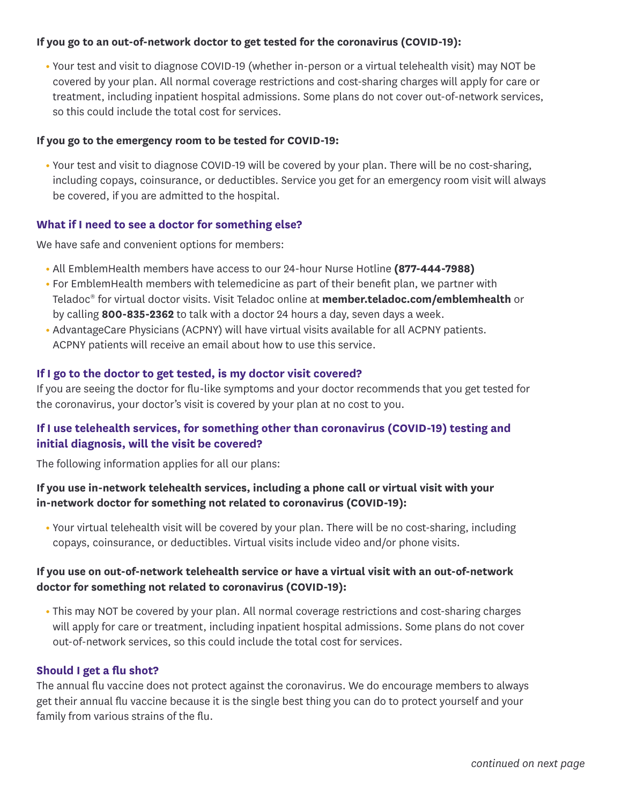#### **If you go to an out-of-network doctor to get tested for the coronavirus (COVID-19):**

**•** Your test and visit to diagnose COVID-19 (whether in-person or a virtual telehealth visit) may NOT be covered by your plan. All normal coverage restrictions and cost-sharing charges will apply for care or treatment, including inpatient hospital admissions. Some plans do not cover out-of-network services, so this could include the total cost for services.

#### **If you go to the emergency room to be tested for COVID-19:**

**•** Your test and visit to diagnose COVID-19 will be covered by your plan. There will be no cost-sharing, including copays, coinsurance, or deductibles. Service you get for an emergency room visit will always be covered, if you are admitted to the hospital.

#### **What if I need to see a doctor for something else?**

We have safe and convenient options for members:

- **•** All EmblemHealth members have access to our 24-hour Nurse Hotline **(877-444-7988)**
- **•** For EmblemHealth members with telemedicine as part of their benefit plan, we partner with Teladoc® for virtual doctor visits. Visit Teladoc online at **member.teladoc.com/emblemhealth** or by calling **800-835-2362** to talk with a doctor 24 hours a day, seven days a week.
- **•** AdvantageCare Physicians (ACPNY) will have virtual visits available for all ACPNY patients. ACPNY patients will receive an email about how to use this service.

#### **If I go to the doctor to get tested, is my doctor visit covered?**

If you are seeing the doctor for flu-like symptoms and your doctor recommends that you get tested for the coronavirus, your doctor's visit is covered by your plan at no cost to you.

# **If I use telehealth services, for something other than coronavirus (COVID-19) testing and initial diagnosis, will the visit be covered?**

The following information applies for all our plans:

## **If you use in-network telehealth services, including a phone call or virtual visit with your in-network doctor for something not related to coronavirus (COVID-19):**

**•** Your virtual telehealth visit will be covered by your plan. There will be no cost-sharing, including copays, coinsurance, or deductibles. Virtual visits include video and/or phone visits.

## **If you use on out-of-network telehealth service or have a virtual visit with an out-of-network doctor for something not related to coronavirus (COVID-19):**

**•** This may NOT be covered by your plan. All normal coverage restrictions and cost-sharing charges will apply for care or treatment, including inpatient hospital admissions. Some plans do not cover out-of-network services, so this could include the total cost for services.

#### **Should I get a flu shot?**

The annual flu vaccine does not protect against the coronavirus. We do encourage members to always get their annual flu vaccine because it is the single best thing you can do to protect yourself and your family from various strains of the flu.